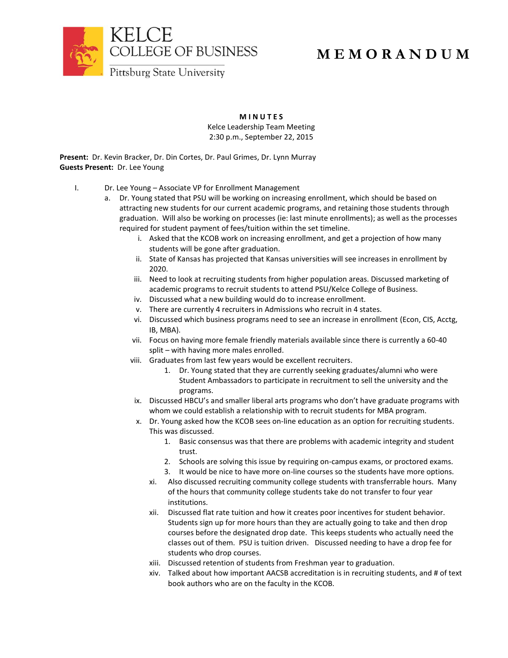

## **M E M O R A N D U M**

**M I N U T E S**

Kelce Leadership Team Meeting 2:30 p.m., September 22, 2015

**Present:** Dr. Kevin Bracker, Dr. Din Cortes, Dr. Paul Grimes, Dr. Lynn Murray **Guests Present:** Dr. Lee Young

- I. Dr. Lee Young Associate VP for Enrollment Management
	- a. Dr. Young stated that PSU will be working on increasing enrollment, which should be based on attracting new students for our current academic programs, and retaining those students through graduation. Will also be working on processes (ie: last minute enrollments); as well as the processes required for student payment of fees/tuition within the set timeline.
		- i. Asked that the KCOB work on increasing enrollment, and get a projection of how many students will be gone after graduation.
		- ii. State of Kansas has projected that Kansas universities will see increases in enrollment by 2020.
		- iii. Need to look at recruiting students from higher population areas. Discussed marketing of academic programs to recruit students to attend PSU/Kelce College of Business.
		- iv. Discussed what a new building would do to increase enrollment.
		- v. There are currently 4 recruiters in Admissions who recruit in 4 states.
		- vi. Discussed which business programs need to see an increase in enrollment (Econ, CIS, Acctg, IB, MBA).
		- vii. Focus on having more female friendly materials available since there is currently a 60-40 split – with having more males enrolled.
		- viii. Graduates from last few years would be excellent recruiters.
			- 1. Dr. Young stated that they are currently seeking graduates/alumni who were Student Ambassadors to participate in recruitment to sell the university and the programs.
		- ix. Discussed HBCU's and smaller liberal arts programs who don't have graduate programs with whom we could establish a relationship with to recruit students for MBA program.
		- x. Dr. Young asked how the KCOB sees on-line education as an option for recruiting students. This was discussed.
			- 1. Basic consensus was that there are problems with academic integrity and student trust.
			- 2. Schools are solving this issue by requiring on-campus exams, or proctored exams.
			- 3. It would be nice to have more on-line courses so the students have more options.
			- xi. Also discussed recruiting community college students with transferrable hours. Many of the hours that community college students take do not transfer to four year institutions.
			- xii. Discussed flat rate tuition and how it creates poor incentives for student behavior. Students sign up for more hours than they are actually going to take and then drop courses before the designated drop date. This keeps students who actually need the classes out of them. PSU is tuition driven. Discussed needing to have a drop fee for students who drop courses.
			- xiii. Discussed retention of students from Freshman year to graduation.
			- xiv. Talked about how important AACSB accreditation is in recruiting students, and # of text book authors who are on the faculty in the KCOB.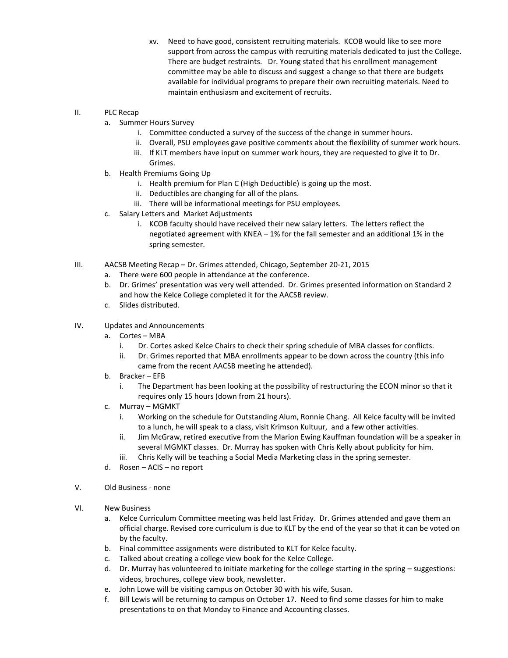- xv. Need to have good, consistent recruiting materials. KCOB would like to see more support from across the campus with recruiting materials dedicated to just the College. There are budget restraints. Dr. Young stated that his enrollment management committee may be able to discuss and suggest a change so that there are budgets available for individual programs to prepare their own recruiting materials. Need to maintain enthusiasm and excitement of recruits.
- II. PLC Recap
	- a. Summer Hours Survey
		- i. Committee conducted a survey of the success of the change in summer hours.
		- ii. Overall, PSU employees gave positive comments about the flexibility of summer work hours.
		- iii. If KLT members have input on summer work hours, they are requested to give it to Dr. Grimes.
	- b. Health Premiums Going Up
		- i. Health premium for Plan C (High Deductible) is going up the most.
		- ii. Deductibles are changing for all of the plans.
		- iii. There will be informational meetings for PSU employees.
	- c. Salary Letters and Market Adjustments
		- i. KCOB faculty should have received their new salary letters. The letters reflect the negotiated agreement with KNEA – 1% for the fall semester and an additional 1% in the spring semester.
- III. AACSB Meeting Recap Dr. Grimes attended, Chicago, September 20-21, 2015
	- a. There were 600 people in attendance at the conference.
	- b. Dr. Grimes' presentation was very well attended. Dr. Grimes presented information on Standard 2 and how the Kelce College completed it for the AACSB review.
	- c. Slides distributed.
- IV. Updates and Announcements
	- a. Cortes MBA
		- i. Dr. Cortes asked Kelce Chairs to check their spring schedule of MBA classes for conflicts.
		- ii. Dr. Grimes reported that MBA enrollments appear to be down across the country (this info came from the recent AACSB meeting he attended).
	- b. Bracker EFB
		- i. The Department has been looking at the possibility of restructuring the ECON minor so that it requires only 15 hours (down from 21 hours).
	- c. Murray MGMKT
		- i. Working on the schedule for Outstanding Alum, Ronnie Chang. All Kelce faculty will be invited to a lunch, he will speak to a class, visit Krimson Kultuur, and a few other activities.
		- ii. Jim McGraw, retired executive from the Marion Ewing Kauffman foundation will be a speaker in several MGMKT classes. Dr. Murray has spoken with Chris Kelly about publicity for him.
		- iii. Chris Kelly will be teaching a Social Media Marketing class in the spring semester.
	- d. Rosen ACIS no report
- V. Old Business none
- VI. New Business
	- a. Kelce Curriculum Committee meeting was held last Friday. Dr. Grimes attended and gave them an official charge. Revised core curriculum is due to KLT by the end of the year so that it can be voted on by the faculty.
	- b. Final committee assignments were distributed to KLT for Kelce faculty.
	- c. Talked about creating a college view book for the Kelce College.
	- d. Dr. Murray has volunteered to initiate marketing for the college starting in the spring suggestions: videos, brochures, college view book, newsletter.
	- e. John Lowe will be visiting campus on October 30 with his wife, Susan.
	- f. Bill Lewis will be returning to campus on October 17. Need to find some classes for him to make presentations to on that Monday to Finance and Accounting classes.